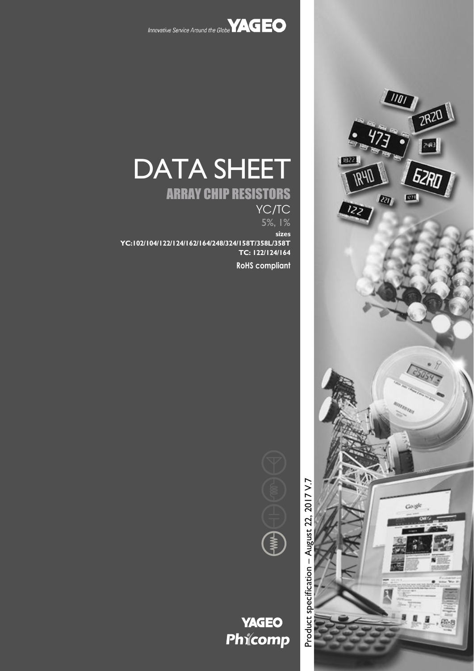

# DATA SHEET

# ARRAY CHIP RESISTORS

YC/TC 5%, 1% **sizes**

**YC:102/104/122/124/162/164/248/324/158T/358L/358T TC: 122/124/164**

**RoHS compliant**





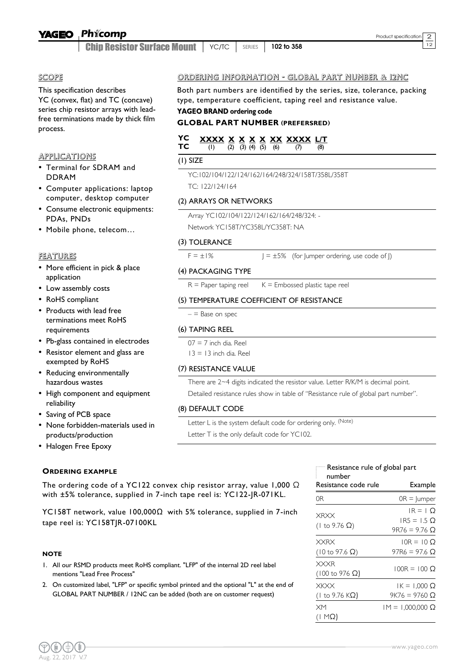#### Phicomp **YAGEO**

Chip Resistor Surface Mount | YC/TC | SERIES | 102 to 358

## SCOPE

This specification describes YC (convex, flat) and TC (concave) series chip resistor arrays with leadfree terminations made by thick film process.

## **APPLICATIONS**

- Terminal for SDRAM and DDRAM
- Computer applications: laptop computer, desktop computer
- Consume electronic equipments: PDAs, PNDs
- Mobile phone, telecom…

## FEATURES

- More efficient in pick & place application
- Low assembly costs
- RoHS compliant
- Products with lead free terminations meet RoHS requirements
- Pb-glass contained in electrodes
- Resistor element and glass are exempted by RoHS
- Reducing environmentally hazardous wastes
- High component and equipment reliability
- Saving of PCB space
- None forbidden-materials used in products/production
- Halogen Free Epoxy

## **ORDERING EXAMPLE**

The ordering code of a YC122 convex chip resistor array, value 1,000  $\Omega$ with ±5% tolerance, supplied in 7-inch tape reel is: YC122-JR-071KL.

YC158T network, value 100,000Ω with 5% tolerance, supplied in 7-inch tape reel is: YC158TJR-07100KL

## **NOTE**

- 1. All our RSMD products meet RoHS compliant. "LFP" of the internal 2D reel label mentions "Lead Free Process"
- 2. On customized label, "LFP" or specific symbol printed and the optional "L" at the end of GLOBAL PART NUMBER / 12NC can be added (both are on customer request)

## ORDERING INFORMATION - GLOBAL PART NUMBER & 12NC

Both part numbers are identified by the series, size, tolerance, packing type, temperature coefficient, taping reel and resistance value.

## **YAGEO BRAND ordering code**

## **GLOBAL PART NUMBER (PREFERSRED)**

#### **YC XXXX X X X X XX XXXX L/T TC** (1) (2) (3) (4) (5) (6) (7) (8)

## (1) SIZE

YC:102/104/122/124/162/164/248/324/158T/358L/358T TC: 122/124/164

## (2) ARRAYS OR NETWORKS

Array YC102/104/122/124/162/164/248/324: - Network YC158T/YC358L/YC358T: NA

## (3) TOLERANCE

 $F = \pm 1\%$  J =  $\pm 5\%$  (for Jumper ordering, use code of J)

## (4) PACKAGING TYPE

 $R =$  Paper taping reel  $K =$  Embossed plastic tape reel

## (5) TEMPERATURE COEFFICIENT OF RESISTANCE

 $=$  Base on spec

## (6) TAPING REEL

 $07 = 7$  inch dia. Reel

 $13 = 13$  inch dia. Reel

## (7) RESISTANCE VALUE

There are 2~4 digits indicated the resistor value. Letter R/K/M is decimal point. Detailed resistance rules show in table of "Resistance rule of global part number".

## (8) DEFAULT CODE

Letter L is the system default code for ordering only. (Note) Letter T is the only default code for YC102.

#### Resistance rule of global part number Resistance code rule **Example** 0R 0R = Jumper **XRXX** (1 to 9.76  $\Omega$ )  $IR = 1$   $\Omega$  $1RS = 1.5 \Omega$ 9R76 = 9.76  $Ω$ XXRX (10 to 97.6 Ω)  $10R = 10 \Omega$ 97R6 = 97.6  $Ω$ XXXR (100 to 976 Ω)  $100R = 100 \Omega$ **XKXX** (1 to 9.76 KΩ)  $1K = 1,000 \Omega$ 9K76 = 9760 Ω XM (1 MΩ)  $1M = 1,000,000$  Ω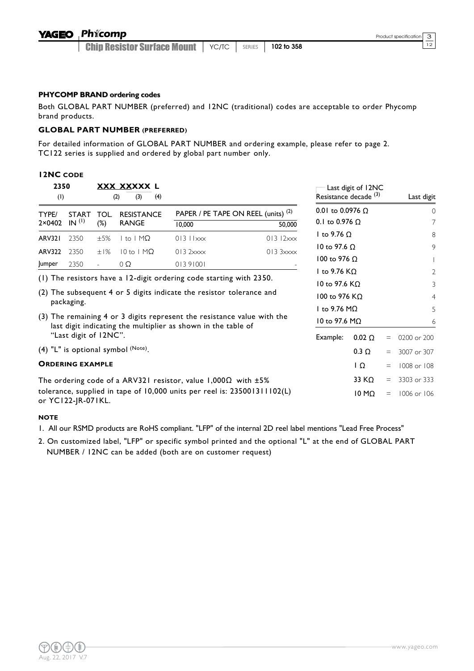$\frac{1}{2}$ 

## **PHYCOMP BRAND ordering codes**

Both GLOBAL PART NUMBER (preferred) and 12NC (traditional) codes are acceptable to order Phycomp brand products.

## **GLOBAL PART NUMBER (PREFERRED)**

For detailed information of GLOBAL PART NUMBER and ordering example, please refer to page 2. TC122 series is supplied and ordered by global part number only.

## **12NC CODE**

| 2350<br>XXX XXXXX L<br>(1)<br>(4)<br>(2)<br>(3) |                         |        |                                                 | Resistance decade <sup>(3)</sup>                                                                                                         | Last digit of 12NC     |                         | Last digit              |          |             |
|-------------------------------------------------|-------------------------|--------|-------------------------------------------------|------------------------------------------------------------------------------------------------------------------------------------------|------------------------|-------------------------|-------------------------|----------|-------------|
| TYPE/                                           | <b>START</b>            | TOL.   | <b>RESISTANCE</b>                               | PAPER / PE TAPE ON REEL (units) <sup>(2)</sup>                                                                                           |                        | 0.01 to 0.0976 $\Omega$ |                         |          | $\Omega$    |
| $2 \times 0402$                                 | IN <sup>(1)</sup>       | $(\%)$ | <b>RANGE</b>                                    | 10,000                                                                                                                                   | 50,000                 | 0.1 to 0.976 $\Omega$   |                         |          | 7           |
| <b>ARV321</b>                                   | 2350                    | ±5%    | $ $ to $ $ M $\Omega$                           | $013$ $11$ $\times$ $\times$                                                                                                             | $013$ $12xxx$          | I to 9.76 $\Omega$      |                         |          | 8           |
| <b>ARV322</b>                                   | 2350                    | ±1%    | $10$ to $1$ M $\Omega$                          | $0132x$ $xxx$                                                                                                                            | $013$ $3x$ $x$ $x$ $x$ | 10 to 97.6 $\Omega$     |                         |          | 9           |
| Jumper                                          | 2350                    |        | $\Omega$                                        | 01391001                                                                                                                                 |                        | 100 to 976 $\Omega$     |                         |          |             |
|                                                 |                         |        |                                                 |                                                                                                                                          |                        | I to 9.76 $K\Omega$     |                         |          | 2           |
|                                                 |                         |        |                                                 | (1) The resistors have a 12-digit ordering code starting with 2350.                                                                      |                        | 10 to 97.6 $K\Omega$    |                         |          | 3           |
|                                                 |                         |        |                                                 | (2) The subsequent 4 or 5 digits indicate the resistor tolerance and                                                                     |                        | 100 to 976 KΩ           |                         |          | 4           |
|                                                 | packaging.              |        |                                                 |                                                                                                                                          |                        | I to 9.76 M $\Omega$    |                         |          | 5           |
|                                                 |                         |        |                                                 | (3) The remaining 4 or 3 digits represent the resistance value with the<br>last digit indicating the multiplier as shown in the table of |                        | 10 to 97.6 M $\Omega$   |                         |          | 6           |
|                                                 | "Last digit of 12NC".   |        |                                                 |                                                                                                                                          |                        | Example:                | $0.02 \Omega$           | $=$      | 0200 or 200 |
|                                                 |                         |        | (4) "L" is optional symbol $(N^{\text{ote}})$ . |                                                                                                                                          |                        |                         | $0.3 \Omega$            |          | 3007 or 307 |
|                                                 | <b>ORDERING EXAMPLE</b> |        |                                                 |                                                                                                                                          |                        |                         | $\overline{1}$ $\Omega$ | $=$      | 1008 or 108 |
|                                                 |                         |        |                                                 | The ordering code of a ARV321 resistor, value $1,000\Omega$ with $\pm 5\%$                                                               |                        |                         | 33 KΩ                   | $\equiv$ | 3303 or 333 |
|                                                 | or YC122-JR-071KL.      |        |                                                 | tolerance, supplied in tape of 10,000 units per reel is: 235001311102(L)                                                                 |                        |                         | 10 M $\Omega$           | $\equiv$ | 1006 or 106 |

## **NOTE**

- 1. All our RSMD products are RoHS compliant. "LFP" of the internal 2D reel label mentions "Lead Free Process"
- 2. On customized label, "LFP" or specific symbol printed and the optional "L" at the end of GLOBAL PART NUMBER / 12NC can be added (both are on customer request)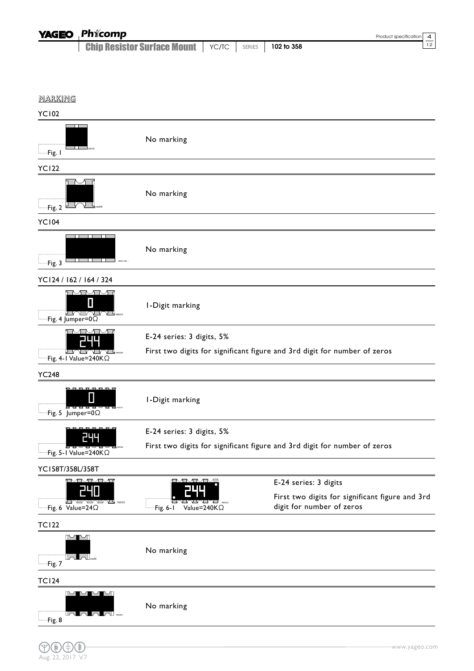| <b>YAGEO</b>   | Phicomp                                       |       |        |            | Product specification | $\overline{A}$  |
|----------------|-----------------------------------------------|-------|--------|------------|-----------------------|-----------------|
|                | <b>Chip Resistor Surface Mount</b>            | YC/TC | SERIES | 102 to 358 |                       | $\overline{12}$ |
|                |                                               |       |        |            |                       |                 |
|                |                                               |       |        |            |                       |                 |
| <u>MARKING</u> |                                               |       |        |            |                       |                 |
| <b>YC102</b>   |                                               |       |        |            |                       |                 |
| -Fig. I        | No marking<br>$\sqrt{1-\frac{1}{2}}$ years 42 |       |        |            |                       |                 |
| <b>YC122</b>   |                                               |       |        |            |                       |                 |
| $-Fig. 2$      | No marking                                    |       |        |            |                       |                 |

## YC104

| $1 \cup 1 \cup 7$                                                      |                 |  |
|------------------------------------------------------------------------|-----------------|--|
| WSC108_1<br>$-Fig.3$                                                   | No marking      |  |
| YC124 / 162 / 164 / 324                                                |                 |  |
| <u>FRANCATE</u><br>Π<br><b>LALALAL</b><br>$-F$ ig. 4 Jumper=0 $\Omega$ | I-Digit marking |  |

## E-24 series: 3 digits, 5% First two digits for significant figure and 3rd digit for number of zeros  $-Fig. 4-I Value=240K<sub>\Omega</sub>$ 244<br>=====

| <b>YC248</b>                                                            |                                                                           |  |
|-------------------------------------------------------------------------|---------------------------------------------------------------------------|--|
| <b>BAMAAMAAM</b><br>Π<br><del>ऀ▎▎▎</del><br>$-Fig. 5$  umper=0 $\Omega$ | I-Digit marking                                                           |  |
| <b>EMPARAMANTAR</b><br>244                                              | E-24 series: 3 digits, 5%                                                 |  |
| <b>TARAKTAR TARAKTAR</b><br>$\exists$ Fig. 5-1 Value=240K $\Omega$      | First two digits for significant figure and 3rd digit for number of zeros |  |
| YC158T/358L/358T                                                        |                                                                           |  |

#### E-24 series: 3 digits 240 Г First two digits for significant figure and 3rd Fig. 6 Value=24Ω U  $Fix. 6-I$  Value=240K $\Omega$ digit for number of zeros

TC122

| <b>INTUT</b><br><b>Inlal</b><br>$\Box$ Fig. 7 | No marking |
|-----------------------------------------------|------------|
| <b>TC124</b>                                  |            |

## $\begin{picture}(20,20) \put(0,0){\line(1,0){10}} \put(15,0){\line(1,0){10}} \put(15,0){\line(1,0){10}} \put(15,0){\line(1,0){10}} \put(15,0){\line(1,0){10}} \put(15,0){\line(1,0){10}} \put(15,0){\line(1,0){10}} \put(15,0){\line(1,0){10}} \put(15,0){\line(1,0){10}} \put(15,0){\line(1,0){10}} \put(15,0){\line(1,0){10}} \put(15,0){\line(1$ No marking u a al In L Fig. 8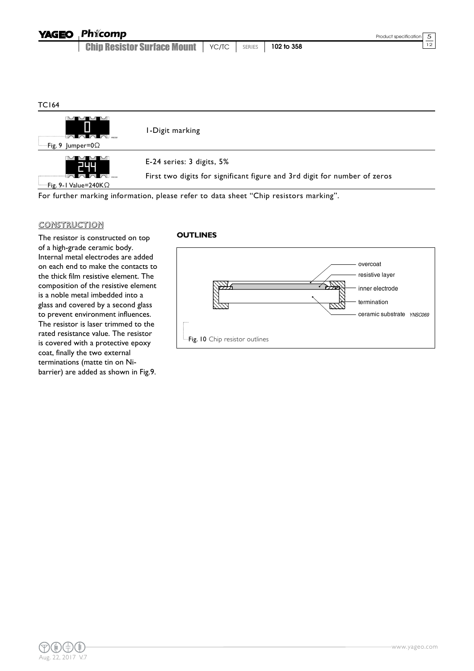| <b>YAGEO</b> Phicomp                                             |  |  |
|------------------------------------------------------------------|--|--|
| <b>Chip Resistor Surface Mount</b>   YC/TC   SERIES   102 to 358 |  |  |

 $\frac{1}{2}$ 

## TC164



For further marking information, please refer to data sheet "Chip resistors marking".

## CONSTRUCTION

The resistor is constructed on top of a high-grade ceramic body. Internal metal electrodes are added on each end to make the contacts to the thick film resistive element. The composition of the resistive element is a noble metal imbedded into a glass and covered by a second glass to prevent environment influences. The resistor is laser trimmed to the rated resistance value. The resistor is covered with a protective epoxy coat, finally the two external terminations (matte tin on Nibarrier) are added as shown in Fig.9.

## **OUTLINES**

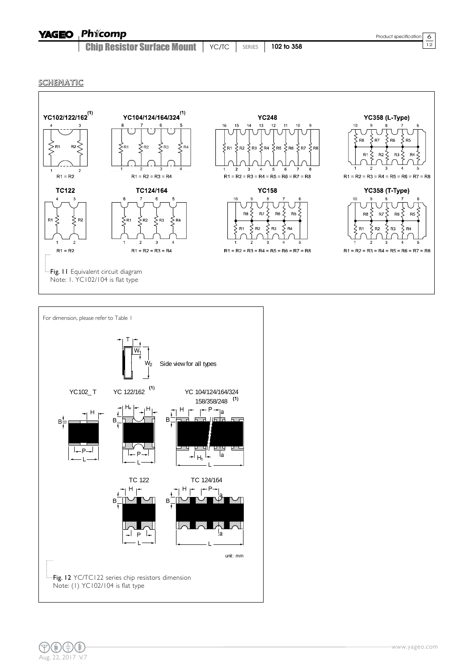**SCHEMATIC** 



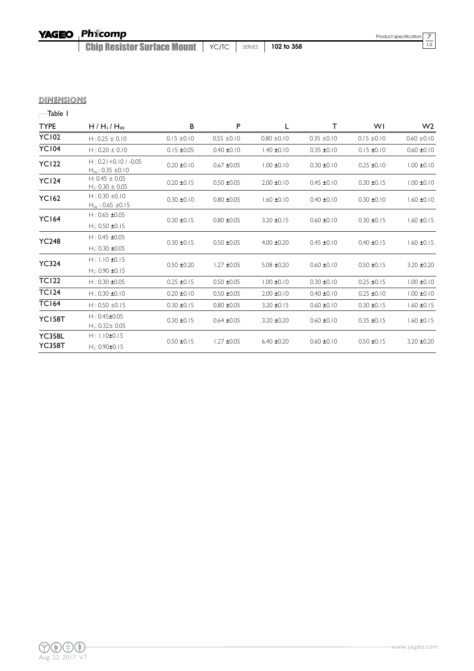# **YAGEO** Phicomp

Chip Resistor Surface Mount | YC/TC | SERIES | 102 to 358

## **DIMENSIONS**

 $\overline{\phantom{a}}$ Table I

| <b>TYPE</b>                    | $H/H_1/H_W$                                      | В               | P               |                 | т               | WI              | W <sub>2</sub>  |
|--------------------------------|--------------------------------------------------|-----------------|-----------------|-----------------|-----------------|-----------------|-----------------|
| <b>YC102</b>                   | $H: 0.25 \pm 0.10$                               | $0.15 \pm 0.10$ | $0.55 \pm 0.10$ | $0.80 \pm 0.10$ | $0.35 \pm 0.10$ | $0.15 \pm 0.10$ | $0.60 \pm 0.10$ |
| <b>YC104</b>                   | $H: 0.20 \pm 0.10$                               | $0.15 \pm 0.05$ | $0.40 \pm 0.10$ | $1,40 \pm 0.10$ | $0.35 \pm 0.10$ | $0.15 \pm 0.10$ | $0.60 \pm 0.10$ |
| <b>YC122</b>                   | $H: 0.21 + 0.10 / -0.05$<br>$H_{W}$ : 0.35 ±0.10 | $0.20 \pm 0.10$ | $0.67 + 0.05$   | $1.00 \pm 0.10$ | $0.30 \pm 0.10$ | $0.25 \pm 0.10$ | $1.00 \pm 0.10$ |
| <b>YC124</b>                   | H: $0.45 \pm 0.05$<br>$H_1: 0.30 \pm 0.05$       | $0.20 \pm 0.15$ | $0.50 \pm 0.05$ | $2.00 \pm 0.10$ | $0.45 \pm 0.10$ | $0.30 \pm 0.15$ | $1.00 \pm 0.10$ |
| <b>YC162</b>                   | $H: 0.30 \pm 0.10$<br>$H_{W}$ : 0.65 ±0.15       | $0.30 \pm 0.10$ | $0.80 \pm 0.05$ | $1.60 \pm 0.10$ | $0.40 \pm 0.10$ | $0.30 \pm 0.10$ | $1.60 \pm 0.10$ |
| <b>YC164</b>                   | $H: 0.65 \pm 0.05$<br>$H_1$ : 0.50 ±0.15         | $0.30 \pm 0.15$ | $0.80 \pm 0.05$ | $3.20 \pm 0.15$ | $0.60 \pm 0.10$ | $0.30 \pm 0.15$ | $1.60 \pm 0.15$ |
| <b>YC248</b>                   | $H: 0.45 \pm 0.05$<br>$H_1$ : 0.30 ±0.05         | $0.30 \pm 0.15$ | $0.50 \pm 0.05$ | $4.00 \pm 0.20$ | $0.45 \pm 0.10$ | $0.40 \pm 0.15$ | $1.60 \pm 0.15$ |
| <b>YC324</b>                   | $H: 1.10 \pm 0.15$<br>$H_1$ : 0.90 ±0.15         | $0.50 \pm 0.20$ | $1.27 + 0.05$   | $5.08 \pm 0.20$ | $0.60 \pm 0.10$ | $0.50 \pm 0.15$ | $3.20 \pm 0.20$ |
| <b>TC122</b>                   | $H: 0.30 \pm 0.05$                               | $0.25 \pm 0.15$ | $0.50 \pm 0.05$ | $1.00 \pm 0.10$ | $0.30 \pm 0.10$ | $0.25 \pm 0.15$ | $1.00 \pm 0.10$ |
| <b>TC124</b>                   | $H: 0.30 \pm 0.10$                               | $0.20 \pm 0.10$ | $0.50 \pm 0.05$ | $2.00 \pm 0.10$ | $0.40 \pm 0.10$ | $0.25 \pm 0.10$ | $1.00 \pm 0.10$ |
| <b>TC164</b>                   | $H: 0.50 \pm 0.15$                               | $0.30 \pm 0.15$ | $0.80 \pm 0.05$ | $3.20 \pm 0.15$ | $0.60 \pm 0.10$ | $0.30 \pm 0.15$ | $1.60 \pm 0.15$ |
| <b>YC158T</b>                  | $H: 0.45 \pm 0.05$<br>$H_1: 0.32 \pm 0.05$       | $0.30 \pm 0.15$ | $0.64 \pm 0.05$ | $3.20 \pm 0.20$ | $0.60 \pm 0.10$ | $0.35 \pm 0.15$ | $1.60 \pm 0.15$ |
| <b>YC358L</b><br><b>YC358T</b> | $H: 1.10 \pm 0.15$<br>$H_1$ : 0.90 $\pm$ 0.15    | $0.50 \pm 0.15$ | $1,27 + 0.05$   | $6.40 \pm 0.20$ | $0.60 \pm 0.10$ | $0.50 \pm 0.15$ | $3.20 \pm 0.20$ |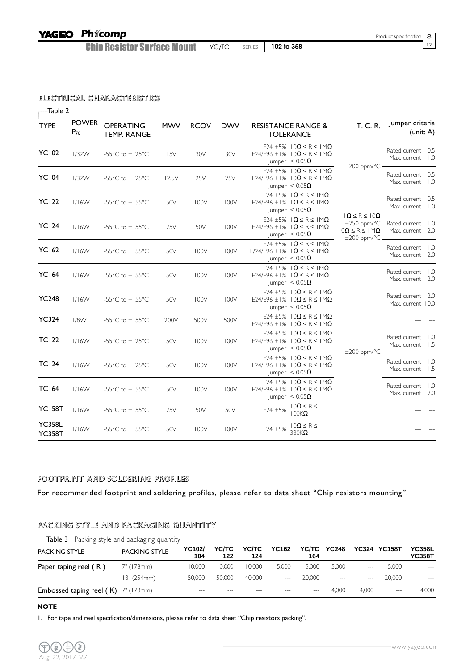Chip Resistor Surface Mount | YC/TC | SERIES | 102 to 358

## ELECTRICAL CHARACTERISTICS

| -Table 2                       |                          |                                        |            |             |            |                                                                            |                                                                                                        |                                                                                        |                                                   |                                      |
|--------------------------------|--------------------------|----------------------------------------|------------|-------------|------------|----------------------------------------------------------------------------|--------------------------------------------------------------------------------------------------------|----------------------------------------------------------------------------------------|---------------------------------------------------|--------------------------------------|
| <b>TYPE</b>                    | <b>POWER</b><br>$P_{70}$ | <b>OPERATING</b><br><b>TEMP. RANGE</b> | <b>MWV</b> | <b>RCOV</b> | <b>DWV</b> | <b>RESISTANCE RANGE &amp;</b><br><b>TOLERANCE</b>                          |                                                                                                        | T. C. R.                                                                               | Jumper criteria<br>(unit: A)                      |                                      |
| <b>YC102</b>                   | 1/32W                    | -55 $^{\circ}$ C to +125 $^{\circ}$ C  | 15V        | 30V         | 30V        | $ $ umper < 0.05 $\Omega$                                                  | $E24 \pm 5\%$ $10\Omega \le R \le 1$ M $\Omega$<br>$E24/E96 \pm 1\%$ $10\Omega \le R \le 1$ M $\Omega$ |                                                                                        | Rated current 0.5<br>Max. current                 | $\overline{1.0}$                     |
| <b>YC104</b>                   | 1/32W                    | $-55^{\circ}$ C to $+125^{\circ}$ C    | 12.5V      | 25V         | 25V        | $ $ umper < 0.05 $\Omega$                                                  | $E24 \pm 5\%$ $10\Omega \le R \le 1$ M $\Omega$<br>E24/E96 ± I% $10\Omega \le R \le 1$ M $\Omega$      | $\pm 200$ ppm/°C-                                                                      | Rated current 0.5<br>Max, current                 | $\vert$ .0                           |
| <b>YC122</b>                   | 1/16W                    | -55 $^{\circ}$ C to +155 $^{\circ}$ C  | 50V        | 100V        | 100V       | $ $ umper < 0.05 $\Omega$                                                  | $E24 \pm 5\%$ $\Omega \le R \le 1 \text{M}\Omega$<br>E24/E96 ± I% $\Omega \leq R \leq$ IM $\Omega$     |                                                                                        | Rated current 0.5<br>Max. current 1.0             |                                      |
| <b>YC124</b>                   | 1/16W                    | -55 $^{\circ}$ C to +155 $^{\circ}$ C  | 25V        | 50V         | 100V       | E24/E96 ±1% $\Omega \leq R \leq 1$ M $\Omega$<br>Jumper $< 0.05\Omega$     | $E24 \pm 5\%$ $\Omega \le R \le 1$ M $\Omega$                                                          | $\Omega \leq R \leq 10\Omega$<br>$10\Omega \leq R \leq 1M\Omega$<br>$\pm 200$ ppm/°C - | ±250 ppm/°C Rated current 1.0<br>Max. current 2.0 |                                      |
| <b>YC162</b>                   | 1/16W                    | -55 $^{\circ}$ C to +155 $^{\circ}$ C  | 50V        | 100V        | 100V       | $E/24/E96 \pm 1\%$ $\Omega \le R \le 1M\Omega$<br>Jumper $< 0.05\Omega$    | $E24 \pm 5\%$ $\Omega \le R \le 1$ M $\Omega$                                                          |                                                                                        | Rated current 1.0<br>Max. current 2.0             |                                      |
| <b>YC164</b>                   | 1/16W                    | -55 $^{\circ}$ C to +155 $^{\circ}$ C  | 50V        | 100V        | 100V       | $E24/E96 \pm 1\%$ $\Omega \le R \le 1$ M $\Omega$<br>Jumper $< 0.05\Omega$ | $E24 \pm 5\%$ $\Omega \le R \le 1$ M $\Omega$                                                          |                                                                                        | Rated current 1.0<br>Max. current 2.0             |                                      |
| <b>YC248</b>                   | 1/16W                    | $-55^{\circ}$ C to $+155^{\circ}$ C    | 50V        | 100V        | 100V       | $ $ umper < 0.05 $\Omega$                                                  | $E24 \pm 5\%$ $10\Omega \le R \le 1M\Omega$<br>$E24/E96 \pm 1\%$ $10\Omega \le R \le 1$ M $\Omega$     |                                                                                        | Rated current 2.0<br>Max. current 10.0            |                                      |
| <b>YC324</b>                   | 1/8W                     | -55 $^{\circ}$ C to +155 $^{\circ}$ C  | 200V       | 500V        | 500V       |                                                                            | $E24 \pm 5\%$ $10\Omega \le R \le 1M\Omega$<br>E24/E96 ±1% $10\Omega \le R \le 1$ M $\Omega$           |                                                                                        |                                                   |                                      |
| <b>TC122</b>                   | 1/16W                    | -55 $^{\circ}$ C to +125 $^{\circ}$ C  | 50V        | 100V        | 100V       | Jumper $< 0.05\Omega$                                                      | E24 ±5% $10\Omega \le R \le 1M\Omega$<br>E24/E96 ±1% $10\Omega \le R \le 1$ M $\Omega$                 | $\pm 200$ ppm/°C.                                                                      | Rated current<br>Max. current                     | $\overline{0}$ .<br>- 1.5            |
| <b>TC124</b>                   | 1/16W                    | -55 $^{\circ}$ C to +125 $^{\circ}$ C  | 50V        | 100V        | 100V       | Jumper $< 0.05\Omega$                                                      | $E24 \pm 5\%$ $10\Omega \le R \le 1M\Omega$<br>E24/E96 ± I% $10\Omega \le R \le 1$ M $\Omega$          |                                                                                        | Rated current<br>Max. current                     | $\overline{1.0}$<br>$\overline{1.5}$ |
| <b>TC164</b>                   | 1/16W                    | -55 $\degree$ C to +155 $\degree$ C    | 50V        | 100V        | 100V       | Jumper $< 0.05\Omega$                                                      | E24 $\pm$ 5% IO $\Omega \le R \le$ IM $\Omega$<br>E24/E96 ± I% $10\Omega \le R \le 1$ M $\Omega$       |                                                                                        | Rated current 1.0<br>Max. current 2.0             |                                      |
| YC <sub>158</sub> T            | 1/16W                    | $-55^{\circ}$ C to $+155^{\circ}$ C    | 25V        | 50V         | 50V        |                                                                            | $E24 \pm 5\%$ $\frac{100}{100} \leq R \leq$                                                            |                                                                                        |                                                   |                                      |
| <b>YC358L</b><br><b>YC358T</b> | 1/16W                    | -55 $^{\circ}$ C to +155 $^{\circ}$ C  | 50V        | 100V        | 100V       | E24 ±5%                                                                    | $10\Omega \leq R \leq$<br>$330K\Omega$                                                                 |                                                                                        |                                                   |                                      |

## FOOTPRINT AND SOLDERING PROFILES

For recommended footprint and soldering profiles, please refer to data sheet "Chip resistors mounting".

## PACKING STYLE AND PACKAGING QUANTITY

| <b>Table 3</b> Packing style and packaging quantity |                      |               |              |              |               |              |              |       |                   |                                |
|-----------------------------------------------------|----------------------|---------------|--------------|--------------|---------------|--------------|--------------|-------|-------------------|--------------------------------|
| <b>PACKING STYLE</b>                                | <b>PACKING STYLE</b> | YC102/<br>104 | ҮС/ТС<br>122 | ҮС/ТС<br>124 | <b>YC162</b>  | ҮС/ТС<br>164 | <b>YC248</b> |       | YC324 YC158T      | <b>YC358L</b><br><b>YC358T</b> |
| Paper taping reel $(R)$                             | 7" (178mm)           | 10.000        | 10.000       | 10.000       | 5.000         | 5.000        | 5.000        | $---$ | 5.000             | $-- -$                         |
|                                                     | 13" (254mm)          | 50,000        | 50.000       | 40.000       | $\frac{1}{2}$ | 20,000       | $---$        | $---$ | 20,000            | $---$                          |
| <b>Embossed taping reel (K)</b> $7^{\circ}$ (178mm) |                      |               |              |              |               |              | 4.000        | 4.000 | $\qquad \qquad -$ | 4.000                          |

## **NOTE**

1. For tape and reel specification/dimensions, please refer to data sheet "Chip resistors packing".



Product specification 8

 $\overline{12}$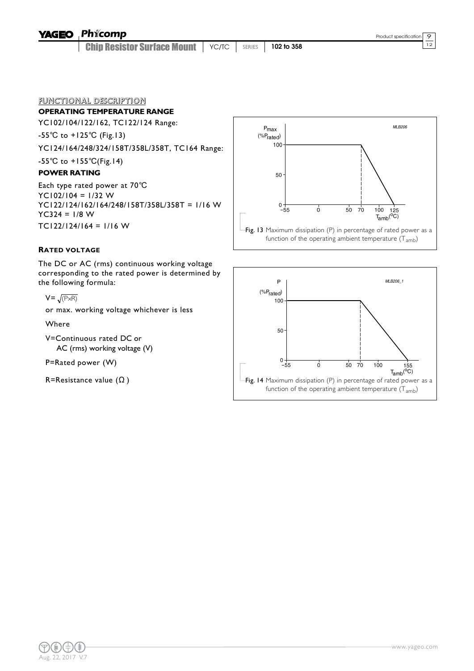#### Phicomp **YAGEO**

Chip Resistor Surface Mount | YC/TC | SERIES | 102 to 358

 $\frac{1}{12}$ 

## FUNCTIONAL DESCRIPTION

## **OPERATING TEMPERATURE RANGE**

YC102/104/122/162, TC122/124 Range:

-55℃ to +125℃ (Fig.13)

YC124/164/248/324/158T/358L/358T, TC164 Range:

-55℃ to +155℃(Fig.14)

## **POWER RATING**

Each type rated power at 70℃ YC102/104 = 1/32 W YC122/124/162/164/248/158T/358L/358T = 1/16 W  $YC324 = 1/8$  W  $TC122/124/164 = 1/16$  W



# **RATED VOLTAGE**

The DC or AC (rms) continuous working voltage corresponding to the rated power is determined by the following formula:

 $V = \sqrt{(P \times R)}$ 

or max. working voltage whichever is less

Where

V=Continuous rated DC or AC (rms) working voltage (V)

P=Rated power (W)

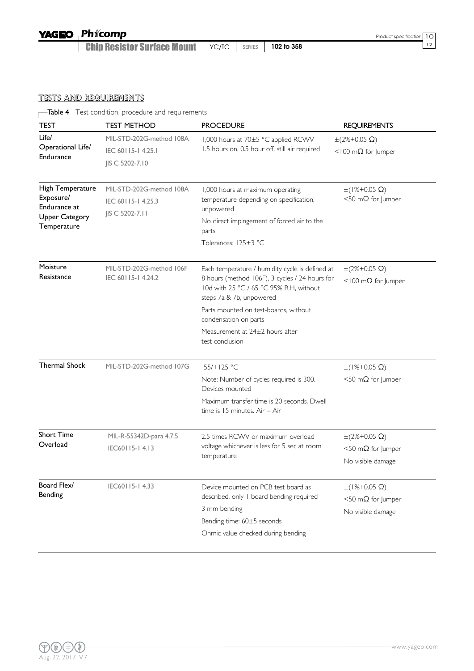| <b>YAGEO</b> Phicomp                                      |  |  |
|-----------------------------------------------------------|--|--|
| Chip Resistor Surface Mount   YC/TC   SERIES   102 to 358 |  |  |

12

## TESTS AND REQUIREMENTS

Table 4 Test condition, procedure and requirements

| <b>TEST</b>                                                                           | <b>TEST METHOD</b>                                               | <b>PROCEDURE</b>                                                                                                                                                                                                                                                                                  | <b>REQUIREMENTS</b>                                                            |
|---------------------------------------------------------------------------------------|------------------------------------------------------------------|---------------------------------------------------------------------------------------------------------------------------------------------------------------------------------------------------------------------------------------------------------------------------------------------------|--------------------------------------------------------------------------------|
| Life/<br><b>Operational Life/</b><br>Endurance                                        | MIL-STD-202G-method 108A<br>IEC 60115-14.25.1<br>JIS C 5202-7.10 | 1,000 hours at 70±5 °C applied RCWV<br>1.5 hours on, 0.5 hour off, still air required                                                                                                                                                                                                             | $\pm (2\% + 0.05 \Omega)$<br><100 m $\Omega$ for Jumper                        |
| High Temperature<br>Exposure/<br>Endurance at<br><b>Upper Category</b><br>Temperature | MIL-STD-202G-method 108A<br>IEC 60115-14.25.3<br>JIS C 5202-7.11 | 1,000 hours at maximum operating<br>temperature depending on specification,<br>unpowered<br>No direct impingement of forced air to the<br>parts<br>Tolerances: $125\pm3$ °C                                                                                                                       | $\pm(1\% + 0.05 \Omega)$<br>$<$ 50 m $\Omega$ for Jumper                       |
| Moisture<br>Resistance                                                                | MIL-STD-202G-method 106F<br>IEC 60115-14.24.2                    | Each temperature / humidity cycle is defined at<br>8 hours (method 106F), 3 cycles / 24 hours for<br>I 0d with 25 °C / 65 °C 95% R.H, without<br>steps 7a & 7b, unpowered<br>Parts mounted on test-boards, without<br>condensation on parts<br>Measurement at 24±2 hours after<br>test conclusion | $\pm (2\% + 0.05 \Omega)$<br><100 mΩ for Jumper                                |
| <b>Thermal Shock</b>                                                                  | MIL-STD-202G-method 107G                                         | $-55/+125 °C$<br>Note: Number of cycles required is 300.<br>Devices mounted<br>Maximum transfer time is 20 seconds. Dwell<br>time is 15 minutes. Air - Air                                                                                                                                        | $\pm$ (1%+0.05 $\Omega$ )<br>$<$ 50 m $\Omega$ for Jumper                      |
| <b>Short Time</b><br>Overload                                                         | MIL-R-55342D-para 4.7.5<br>IEC60115-14.13                        | 2.5 times RCWV or maximum overload<br>voltage whichever is less for 5 sec at room<br>temperature                                                                                                                                                                                                  | $\pm (2\% + 0.05 \Omega)$<br>$<$ 50 m $\Omega$ for Jumper<br>No visible damage |
| Board Flex/<br>Bending                                                                | IEC60115-14.33                                                   | Device mounted on PCB test board as<br>described, only I board bending required<br>3 mm bending<br>Bending time: 60±5 seconds<br>Ohmic value checked during bending                                                                                                                               | $\pm(1\% + 0.05 \Omega)$<br>$<$ 50 m $\Omega$ for Jumper<br>No visible damage  |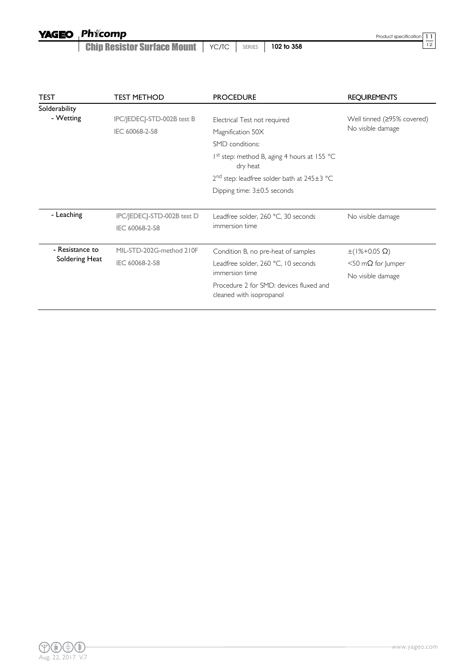**Chip Resistor Surface Mount | YC/TC | SERIES | 102 to 358** 

Product specification 11

| <b>TEST</b>     | <b>TEST METHOD</b>         | <b>PROCEDURE</b>                                                    | <b>REQUIREMENTS</b>                             |
|-----------------|----------------------------|---------------------------------------------------------------------|-------------------------------------------------|
| Solderability   |                            |                                                                     |                                                 |
| - Wetting       | IPC/JEDECJ-STD-002B test B | Electrical Test not required                                        | Well tinned (≥95% covered)<br>No visible damage |
|                 | IEC 60068-2-58             | Magnification 50X                                                   |                                                 |
|                 |                            | SMD conditions:                                                     |                                                 |
|                 |                            | $1st$ step: method B, aging 4 hours at 155 °C<br>dry heat           |                                                 |
|                 |                            | $2nd$ step: leadfree solder bath at $245±3$ °C                      |                                                 |
|                 |                            | Dipping time: $3\pm0.5$ seconds                                     |                                                 |
|                 |                            |                                                                     |                                                 |
| - Leaching      | IPC/JEDECJ-STD-002B test D | Leadfree solder, 260 °C, 30 seconds<br>immersion time               | No visible damage                               |
|                 | IEC 60068-2-58             |                                                                     |                                                 |
|                 |                            |                                                                     |                                                 |
| - Resistance to | MIL-STD-202G-method 210F   | Condition B, no pre-heat of samples                                 | $\pm(1\% + 0.05 \Omega)$                        |
| Soldering Heat  | IEC 60068-2-58             | Leadfree solder, 260 °C, 10 seconds<br>immersion time               | $<$ 50 m $\Omega$ for lumper                    |
|                 |                            |                                                                     | No visible damage                               |
|                 |                            | Procedure 2 for SMD: devices fluxed and<br>cleaned with isopropanol |                                                 |
|                 |                            |                                                                     |                                                 |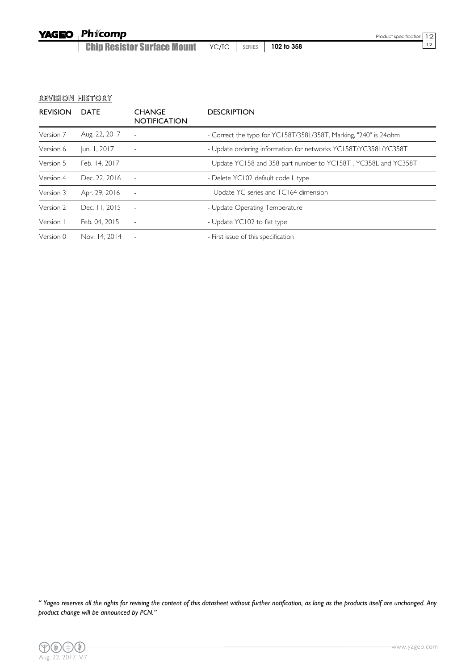Phicomp **YAGEO** 

Chip Resistor Surface Mount | YC/TC | SERIES | 102 to 358

REVISION HISTORY

| <b>REVISION</b> | <b>DATE</b>   | <b>CHANGE</b><br><b>NOTIFICATION</b> | <b>DESCRIPTION</b>                                               |
|-----------------|---------------|--------------------------------------|------------------------------------------------------------------|
| Version 7       | Aug. 22, 2017 | $\overline{\phantom{a}}$             | - Correct the typo for YC158T/358L/358T, Marking, "240" is 24ohm |
| Version 6       | Jun. 1, 2017  | $\overline{\phantom{a}}$             | - Update ordering information for networks YC158T/YC358L/YC358T  |
| Version 5       | Feb. 14, 2017 |                                      | - Update YC158 and 358 part number to YC158T, YC358L and YC358T  |
| Version 4       | Dec. 22, 2016 |                                      | - Delete YC102 default code L type                               |
| Version 3       | Apr. 29, 2016 | $\equiv$                             | - Update YC series and TC164 dimension                           |
| Version 2       | Dec. 11, 2015 | $\sim$                               | - Update Operating Temperature                                   |
| Version         | Feb. 04, 2015 | $\sim$                               | - Update YC102 to flat type                                      |
| Version 0       | Nov. 14, 2014 | $\equiv$                             | - First issue of this specification                              |

*" Yageo reserves all the rights for revising the content of this datasheet without further notification, as long as the products itself are unchanged. Any product change will be announced by PCN."*